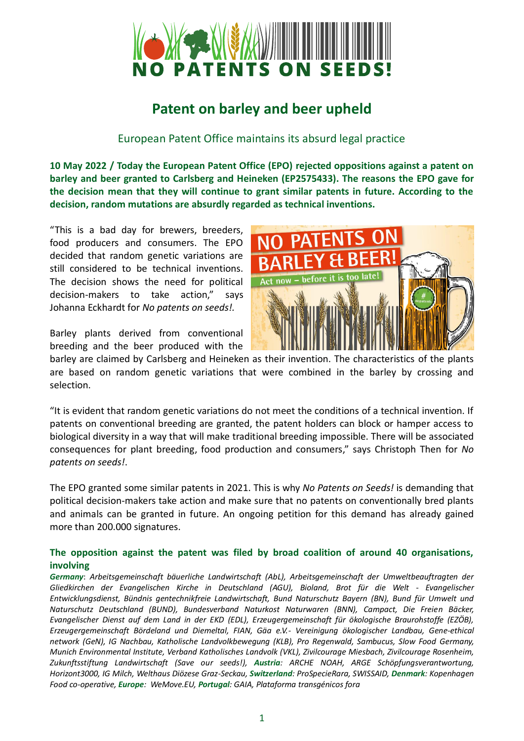

## **Patent on barley and beer upheld**

European Patent Office maintains its absurd legal practice

**10 May 2022 / Today the European Patent Office (EPO) rejected oppositions against a patent on barley and beer granted to Carlsberg and Heineken (EP2575433). The reasons the EPO gave for the decision mean that they will continue to grant similar patents in future. According to the decision, random mutations are absurdly regarded as technical inventions.** 

"This is a bad day for brewers, breeders, food producers and consumers. The EPO decided that random genetic variations are still considered to be technical inventions. The decision shows the need for political decision-makers to take action," says Johanna Eckhardt for *No patents on seeds!.*

Barley plants derived from conventional breeding and the beer produced with the



barley are claimed by Carlsberg and Heineken as their invention. The characteristics of the plants are based on random genetic variations that were combined in the barley by crossing and selection.

"It is evident that random genetic variations do not meet the conditions of a technical invention. If patents on conventional breeding are granted, the patent holders can block or hamper access to biological diversity in a way that will make traditional breeding impossible. There will be associated consequences for plant breeding, food production and consumers," says Christoph Then for *No patents on seeds!*.

The EPO granted some similar patents in 2021. This is why *No Patents on Seeds!* is demanding that political decision-makers take action and make sure that no patents on conventionally bred plants and animals can be granted in future. An ongoing petition for this demand has already gained more than 200.000 signatures.

## **The opposition against the patent was filed by broad coalition of around 40 organisations, involving**

*Germany*: *Arbeitsgemeinschaft bäuerliche Landwirtschaft (AbL), Arbeitsgemeinschaft der Umweltbeauftragten der Gliedkirchen der Evangelischen Kirche in Deutschland (AGU), Bioland, Brot für die Welt - Evangelischer Entwicklungsdienst, Bündnis gentechnikfreie Landwirtschaft, Bund Naturschutz Bayern (BN), Bund für Umwelt und Naturschutz Deutschland (BUND), Bundesverband Naturkost Naturwaren (BNN), Campact, Die Freien Bäcker, Evangelischer Dienst auf dem Land in der EKD (EDL), Erzeugergemeinschaft für ökologische Braurohstoffe (EZÖB), Erzeugergemeinschaft Bördeland und Diemeltal, FIAN, Gäa e.V.- Vereinigung ökologischer Landbau, Gene-ethical network (GeN), IG Nachbau, Katholische Landvolkbewegung (KLB), Pro Regenwald, Sambucus, Slow Food Germany, Munich Environmental Institute, Verband Katholisches Landvolk (VKL), Zivilcourage Miesbach, Zivilcourage Rosenheim, Zukunftsstiftung Landwirtschaft (Save our seeds!), Austria: ARCHE NOAH, ARGE Schöpfungsverantwortung, Horizont3000, IG Milch, Welthaus Diözese Graz-Seckau, Switzerland: ProSpecieRara, SWISSAID, Denmark: Kopenhagen Food co-operative, Europe: WeMove.EU, Portugal: GAIA, Plataforma transgénicos fora*